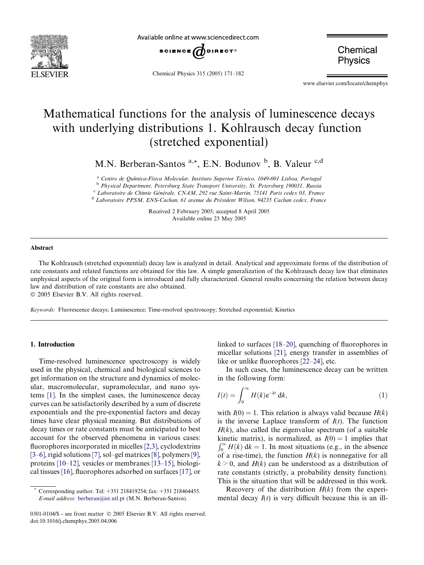<span id="page-0-0"></span>

Available online at www.sciencedirect.com



Chemical Physics 315 (2005) 171–182

Chemical **Physics** 

www.elsevier.com/locate/chemphys

# Mathematical functions for the analysis of luminescence decays with underlying distributions 1. Kohlrausch decay function (stretched exponential)

M.N. Berberan-Santos <sup>a,\*</sup>, E.N. Bodunov <sup>b</sup>, B. Valeur <sup>c,d</sup>

<sup>a</sup> Centro de Química-Física Molecular, Instituto Superior Técnico, 1049-001 Lisboa, Portugal

<sup>b</sup> Physical Department, Petersburg State Transport University, St. Petersburg 190031, Russia

c Laboratoire de Chimie Générale, CNAM, 292 rue Saint-Martin, 75141 Paris cedex 03, France

<sup>d</sup> Laboratoire PPSM, ENS-Cachan, 61 avenue du Président Wilson, 94235 Cachan cedex, France

Received 2 February 2005; accepted 8 April 2005 Available online 23 May 2005

#### Abstract

The Kohlrausch (stretched exponential) decay law is analyzed in detail. Analytical and approximate forms of the distribution of rate constants and related functions are obtained for this law. A simple generalization of the Kohlrausch decay law that eliminates unphysical aspects of the original form is introduced and fully characterized. General results concerning the relation between decay law and distribution of rate constants are also obtained.

2005 Elsevier B.V. All rights reserved.

Keywords: Fluorescence decays; Luminescence; Time-resolved spectroscopy; Stretched exponential; Kinetics

#### 1. Introduction

Time-resolved luminescence spectroscopy is widely used in the physical, chemical and biological sciences to get information on the structure and dynamics of molecular, macromolecular, supramolecular, and nano systems [\[1\].](#page-10-0) In the simplest cases, the luminescence decay curves can be satisfactorily described by a sum of discrete exponentials and the pre-exponential factors and decay times have clear physical meaning. But distributions of decay times or rate constants must be anticipated to best account for the observed phenomena in various cases: fluorophores incorporated in micelles [\[2,3\],](#page-10-0) cyclodextrins [\[3–6\],](#page-10-0) rigid solutions [\[7\],](#page-10-0) sol–gel matrices[\[8\]](#page-10-0), polymers[\[9\],](#page-10-0) proteins [\[10–12\]](#page-10-0), vesicles or membranes [\[13–15\]](#page-10-0), biological tissues [\[16\]](#page-10-0), fluorophores adsorbed on surfaces [\[17\],](#page-10-0) or

linked to surfaces [\[18–20\]](#page-10-0), quenching of fluorophores in micellar solutions [\[21\],](#page-10-0) energy transfer in assemblies of like or unlike fluorophores [\[22–24\]](#page-10-0), etc.

In such cases, the luminescence decay can be written in the following form:

$$
I(t) = \int_0^\infty H(k) \mathrm{e}^{-kt} \, \mathrm{d}k,\tag{1}
$$

with  $I(0) = 1$ . This relation is always valid because  $H(k)$ is the inverse Laplace transform of  $I(t)$ . The function  $H(k)$ , also called the eigenvalue spectrum (of a suitable kinetic matrix), is normalized, as  $I(0) = 1$  implies that Reflect matrix), is normalized, as  $I(v) = 1$  implies that  $\int_0^{\infty} H(k) dk = 1$ . In most situations (e.g., in the absence of a rise-time), the function  $H(k)$  is nonnegative for all  $k > 0$ , and  $H(k)$  can be understood as a distribution of rate constants (strictly, a probability density function). This is the situation that will be addressed in this work.

Recovery of the distribution  $H(k)$  from the experimental decay  $I(t)$  is very difficult because this is an ill-

Corresponding author. Tel: +351 218419254; fax: +351 218464455. E-mail address: [berberan@ist.utl.pt](mailto:berberan@ist.utl.pt) (M.N. Berberan-Santos).

<sup>0301-0104/\$ -</sup> see front matter © 2005 Elsevier B.V. All rights reserved. doi:10.1016/j.chemphys.2005.04.006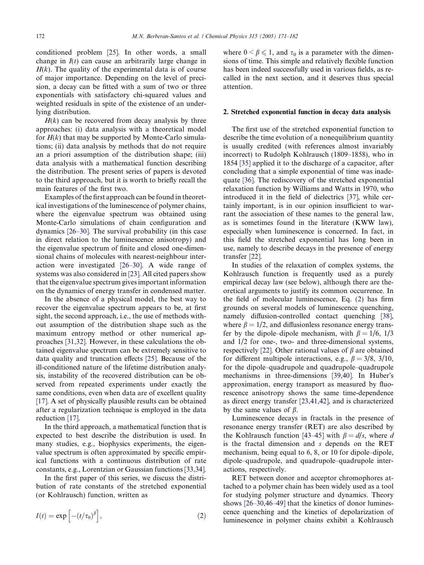<span id="page-1-0"></span>conditioned problem [\[25\].](#page-10-0) In other words, a small change in  $I(t)$  can cause an arbitrarily large change in  $H(k)$ . The quality of the experimental data is of course of major importance. Depending on the level of precision, a decay can be fitted with a sum of two or three exponentials with satisfactory chi-squared values and weighted residuals in spite of the existence of an underlying distribution.

 $H(k)$  can be recovered from decay analysis by three approaches: (i) data analysis with a theoretical model for  $H(k)$  that may be supported by Monte-Carlo simulations; (ii) data analysis by methods that do not require an a priori assumption of the distribution shape; (iii) data analysis with a mathematical function describing the distribution. The present series of papers is devoted to the third approach, but it is worth to briefly recall the main features of the first two.

Examples of the first approach can be found in theoretical investigations of the luminescence of polymer chains, where the eigenvalue spectrum was obtained using Monte-Carlo simulations of chain configuration and dynamics [\[26–30\].](#page-10-0) The survival probability (in this case in direct relation to the luminescence anisotropy) and the eigenvalue spectrum of finite and closed one-dimensional chains of molecules with nearest-neighbour interaction were investigated [\[26–30\].](#page-10-0) A wide range of systems was also considered in [\[23\]](#page-10-0). All cited papers show that the eigenvalue spectrum gives important information on the dynamics of energy transfer in condensed matter.

In the absence of a physical model, the best way to recover the eigenvalue spectrum appears to be, at first sight, the second approach, i.e., the use of methods without assumption of the distribution shape such as the maximum entropy method or other numerical approaches [\[31,32\].](#page-10-0) However, in these calculations the obtained eigenvalue spectrum can be extremely sensitive to data quality and truncation effects [\[25\].](#page-10-0) Because of the ill-conditioned nature of the lifetime distribution analysis, instability of the recovered distribution can be observed from repeated experiments under exactly the same conditions, even when data are of excellent quality [\[17\]](#page-10-0). A set of physically plausible results can be obtained after a regularization technique is employed in the data reduction [\[17\].](#page-10-0)

In the third approach, a mathematical function that is expected to best describe the distribution is used. In many studies, e.g., biophysics experiments, the eigenvalue spectrum is often approximated by specific empirical functions with a continuous distribution of rate constants, e.g., Lorentzian or Gaussian functions [\[33,34\]](#page-10-0).

In the first paper of this series, we discuss the distribution of rate constants of the stretched exponential (or Kohlrausch) function, written as

$$
I(t) = \exp\left[-\left(t/\tau_0\right)^{\beta}\right],\tag{2}
$$

where  $0 \le \beta \le 1$ , and  $\tau_0$  is a parameter with the dimensions of time. This simple and relatively flexible function has been indeed successfully used in various fields, as recalled in the next section, and it deserves thus special attention.

## 2. Stretched exponential function in decay data analysis

The first use of the stretched exponential function to describe the time evolution of a nonequilibrium quantity is usually credited (with references almost invariably incorrect) to Rudolph Kohlrausch (1809–1858), who in 1854 [\[35\]](#page-10-0) applied it to the discharge of a capacitor, after concluding that a simple exponential of time was inadequate [\[36\].](#page-10-0) The rediscovery of the stretched exponential relaxation function by Williams and Watts in 1970, who introduced it in the field of dielectrics [\[37\],](#page-10-0) while certainly important, is in our opinion insufficient to warrant the association of these names to the general law, as is sometimes found in the literature (KWW law), especially when luminescence is concerned. In fact, in this field the stretched exponential has long been in use, namely to describe decays in the presence of energy transfer [\[22\]](#page-10-0).

In studies of the relaxation of complex systems, the Kohlrausch function is frequently used as a purely empirical decay law (see below), although there are theoretical arguments to justify its common occurrence. In the field of molecular luminescence, Eq. (2) has firm grounds on several models of luminescence quenching, namely diffusion-controlled contact quenching [\[38\]](#page-10-0), where  $\beta = 1/2$ , and diffusionless resonance energy transfer by the dipole–dipole mechanism, with  $\beta = 1/6$ , 1/3 and 1/2 for one-, two- and three-dimensional systems, respectively [\[22\]](#page-10-0). Other rational values of  $\beta$  are obtained for different multipole interactions, e.g.,  $\beta = 3/8$ ,  $3/10$ , for the dipole–quadrupole and quadrupole–quadrupole mechanisms in three-dimensions [\[39,40\].](#page-10-0) In Huber's approximation, energy transport as measured by fluorescence anisotropy shows the same time-dependence as direct energy transfer [\[23,41,42\]](#page-10-0), and is characterized by the same values of  $\beta$ .

Luminescence decays in fractals in the presence of resonance energy transfer (RET) are also described by the Kohlrausch function [\[43–45\]](#page-10-0) with  $\beta = d/s$ , where d is the fractal dimension and s depends on the RET mechanism, being equal to 6, 8, or 10 for dipole–dipole, dipole–quadrupole, and quadrupole–quadrupole interactions, respectively.

RET between donor and acceptor chromophores attached to a polymer chain has been widely used as a tool for studying polymer structure and dynamics. Theory shows [\[26–30,46–49\]](#page-10-0) that the kinetics of donor luminescence quenching and the kinetics of depolarization of luminescence in polymer chains exhibit a Kohlrausch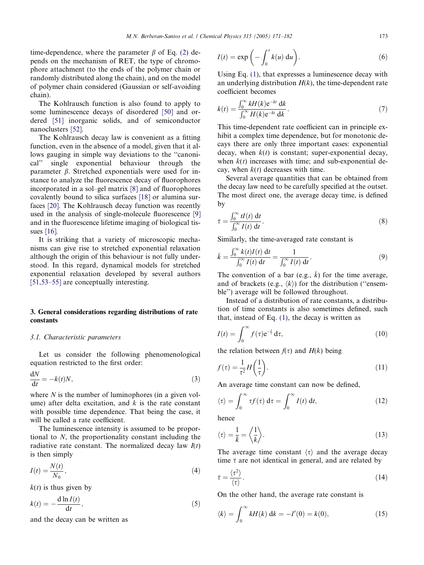<span id="page-2-0"></span>time-dependence, where the parameter  $\beta$  of Eq. [\(2\)](#page-1-0) depends on the mechanism of RET, the type of chromophore attachment (to the ends of the polymer chain or randomly distributed along the chain), and on the model of polymer chain considered (Gaussian or self-avoiding chain).

The Kohlrausch function is also found to apply to some luminescence decays of disordered [\[50\]](#page-10-0) and ordered [\[51\]](#page-10-0) inorganic solids, and of semiconductor nanoclusters [\[52\].](#page-10-0)

The Kohlrausch decay law is convenient as a fitting function, even in the absence of a model, given that it allows gauging in simple way deviations to the ''canonical'' single exponential behaviour through the parameter  $\beta$ . Stretched exponentials were used for instance to analyze the fluorescence decay of fluorophores incorporated in a sol–gel matrix [\[8\]](#page-10-0) and of fluorophores covalently bound to silica surfaces [\[18\]](#page-10-0) or alumina surfaces [\[20\]](#page-10-0). The Kohlrausch decay function was recently used in the analysis of single-molecule fluorescence [\[9\]](#page-10-0) and in the fluorescence lifetime imaging of biological tissues [\[16\].](#page-10-0)

It is striking that a variety of microscopic mechanisms can give rise to stretched exponential relaxation although the origin of this behaviour is not fully understood. In this regard, dynamical models for stretched exponential relaxation developed by several authors [\[51,53–55\]](#page-10-0) are conceptually interesting.

## 3. General considerations regarding distributions of rate constants

#### 3.1. Characteristic parameters

Let us consider the following phenomenological equation restricted to the first order:

$$
\frac{\mathrm{d}N}{\mathrm{d}t} = -k(t)N,\tag{3}
$$

where  $N$  is the number of luminophores (in a given volume) after delta excitation, and  $k$  is the rate constant with possible time dependence. That being the case, it will be called a rate coefficient.

The luminescence intensity is assumed to be proportional to N, the proportionality constant including the radiative rate constant. The normalized decay law  $I(t)$ is then simply

$$
I(t) = \frac{N(t)}{N_0},\tag{4}
$$

 $k(t)$  is thus given by

$$
k(t) = -\frac{\mathrm{d}\ln I(t)}{\mathrm{d}t},\tag{5}
$$

and the decay can be written as

$$
I(t) = \exp\left(-\int_0^t k(u) \, \mathrm{d}u\right). \tag{6}
$$

Using Eq. [\(1\),](#page-0-0) that expresses a luminescence decay with an underlying distribution  $H(k)$ , the time-dependent rate coefficient becomes

$$
k(t) = \frac{\int_0^\infty k H(k) \mathrm{e}^{-kt} \, \mathrm{d}k}{\int_0^\infty H(k) \mathrm{e}^{-kt} \, \mathrm{d}k}.
$$
\n<sup>(7)</sup>

This time-dependent rate coefficient can in principle exhibit a complex time dependence, but for monotonic decays there are only three important cases: exponential decay, when  $k(t)$  is constant; super-exponential decay, when  $k(t)$  increases with time; and sub-exponential decay, when  $k(t)$  decreases with time.

Several average quantities that can be obtained from the decay law need to be carefully specified at the outset. The most direct one, the average decay time, is defined by

$$
\bar{\tau} = \frac{\int_0^\infty t I(t) \, \mathrm{d}t}{\int_0^\infty I(t) \, \mathrm{d}t}.\tag{8}
$$

Similarly, the time-averaged rate constant is

$$
\bar{k} = \frac{\int_0^\infty k(t)I(t) \, \mathrm{d}t}{\int_0^\infty I(t) \, \mathrm{d}t} = \frac{1}{\int_0^\infty I(t) \, \mathrm{d}t}.
$$
\n(9)

The convention of a bar (e.g.,  $\overline{k}$ ) for the time average, and of brackets (e.g.,  $\langle k \rangle$ ) for the distribution ("ensemble'') average will be followed throughout.

Instead of a distribution of rate constants, a distribution of time constants is also sometimes defined, such that, instead of Eq.  $(1)$ , the decay is written as

$$
I(t) = \int_0^\infty f(\tau) e^{-\frac{t}{\tau}} d\tau,
$$
\n(10)

the relation between  $f(\tau)$  and  $H(k)$  being

$$
f(\tau) = \frac{1}{\tau^2} H\left(\frac{1}{\tau}\right). \tag{11}
$$

An average time constant can now be defined,

$$
\langle \tau \rangle = \int_0^\infty \tau f(\tau) \, \mathrm{d}\tau = \int_0^\infty I(t) \, \mathrm{d}t,\tag{12}
$$

hence

$$
\langle \tau \rangle = \frac{1}{\bar{k}} = \left\langle \frac{1}{k} \right\rangle. \tag{13}
$$

The average time constant  $\langle \tau \rangle$  and the average decay time  $\bar{\tau}$  are not identical in general, and are related by

$$
\bar{\tau} = \frac{\langle \tau^2 \rangle}{\langle \tau \rangle}.
$$
 (14)

On the other hand, the average rate constant is

$$
\langle k \rangle = \int_0^\infty k H(k) \, \mathrm{d}k = -I'(0) = k(0),\tag{15}
$$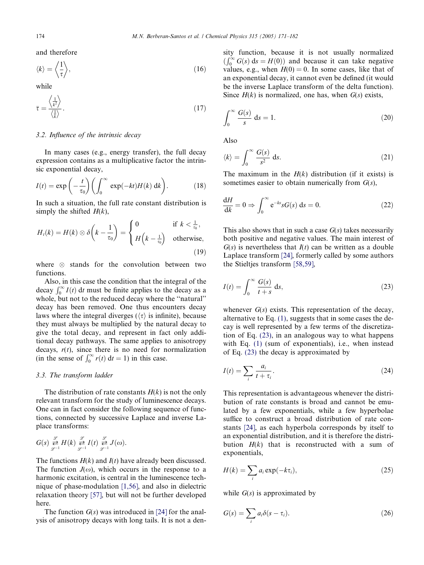and therefore

$$
\langle k \rangle = \left\langle \frac{1}{\tau} \right\rangle, \tag{16}
$$

while

$$
\bar{\tau} = \frac{\left\langle \frac{1}{k^2} \right\rangle}{\left\langle \frac{1}{k} \right\rangle}.
$$
 (17)

## 3.2. Influence of the intrinsic decay

In many cases (e.g., energy transfer), the full decay expression contains as a multiplicative factor the intrinsic exponential decay,

$$
I(t) = \exp\left(-\frac{t}{\tau_0}\right) \left(\int_0^\infty \exp(-kt)H(k) \, \mathrm{d}k\right). \tag{18}
$$

In such a situation, the full rate constant distribution is simply the shifted  $H(k)$ ,

$$
H_t(k) = H(k) \otimes \delta\left(k - \frac{1}{\tau_0}\right) = \begin{cases} 0 & \text{if } k < \frac{1}{\tau_0}, \\ H\left(k - \frac{1}{\tau_0}\right) & \text{otherwise,} \end{cases}
$$
(19)

where  $\otimes$  stands for the convolution between two functions.

Also, in this case the condition that the integral of the decay  $\int_0^\infty I(t) dt$  must be finite applies to the decay as a whole, but not to the reduced decay where the ''natural'' decay has been removed. One thus encounters decay laws where the integral diverges ( $\langle \tau \rangle$  is infinite), because they must always be multiplied by the natural decay to give the total decay, and represent in fact only additional decay pathways. The same applies to anisotropy decays,  $r(t)$ , since there is no need for normalization (in the sense of  $\int_0^\infty r(t) dt = 1$ ) in this case.

### 3.3. The transform ladder

The distribution of rate constants  $H(k)$  is not the only relevant transform for the study of luminescence decays. One can in fact consider the following sequence of functions, connected by successive Laplace and inverse Laplace transforms:

$$
G(s) \overset{\mathscr{L}}{\underset{\mathscr{L}^{-1}}{\rightleftarrows}} H(k) \overset{\mathscr{L}}{\underset{\mathscr{L}^{-1}}{\rightleftarrows}} I(t) \overset{\mathscr{L}}{\underset{\mathscr{L}^{-1}}{\rightleftarrows}} J(\omega).
$$

The functions  $H(k)$  and  $I(t)$  have already been discussed. The function  $J(\omega)$ , which occurs in the response to a harmonic excitation, is central in the luminescence technique of phase-modulation [\[1,56\],](#page-10-0) and also in dielectric relaxation theory [\[57\],](#page-10-0) but will not be further developed here.

The function  $G(s)$  was introduced in [\[24\]](#page-10-0) for the analysis of anisotropy decays with long tails. It is not a den-

sity function, because it is not usually normalized  $\int_0^\infty G(s) ds = H(0)$  and because it can take negative values, e.g., when  $H(0) = 0$ . In some cases, like that of an exponential decay, it cannot even be defined (it would be the inverse Laplace transform of the delta function). Since  $H(k)$  is normalized, one has, when  $G(s)$  exists,

$$
\int_0^\infty \frac{G(s)}{s} \, \mathrm{d}s = 1. \tag{20}
$$

Also

$$
\langle k \rangle = \int_0^\infty \frac{G(s)}{s^2} \, \mathrm{d}s. \tag{21}
$$

The maximum in the  $H(k)$  distribution (if it exists) is sometimes easier to obtain numerically from  $G(s)$ ,

$$
\frac{dH}{dk} = 0 \Rightarrow \int_0^\infty e^{-ks} s G(s) \, ds = 0. \tag{22}
$$

This also shows that in such a case  $G(s)$  takes necessarily both positive and negative values. The main interest of  $G(s)$  is nevertheless that  $I(t)$  can be written as a double Laplace transform [\[24\]](#page-10-0), formerly called by some authors the Stieltjes transform [\[58,59\]](#page-10-0),

$$
I(t) = \int_0^\infty \frac{G(s)}{t+s} \, \mathrm{d}s,\tag{23}
$$

whenever  $G(s)$  exists. This representation of the decay, alternative to Eq. [\(1\),](#page-0-0) suggests that in some cases the decay is well represented by a few terms of the discretization of Eq. (23), in an analogous way to what happens with Eq. [\(1\)](#page-0-0) (sum of exponentials), i.e., when instead of Eq. (23) the decay is approximated by

$$
I(t) = \sum_{i} \frac{a_i}{t + \tau_i}.
$$
\n(24)

This representation is advantageous whenever the distribution of rate constants is broad and cannot be emulated by a few exponentials, while a few hyperbolae suffice to construct a broad distribution of rate constants [\[24\]](#page-10-0), as each hyperbola corresponds by itself to an exponential distribution, and it is therefore the distribution  $H(k)$  that is reconstructed with a sum of exponentials,

$$
H(k) = \sum_{i} a_i \exp(-k\tau_i), \qquad (25)
$$

while  $G(s)$  is approximated by

$$
G(s) = \sum_{i} a_i \delta(s - \tau_i). \tag{26}
$$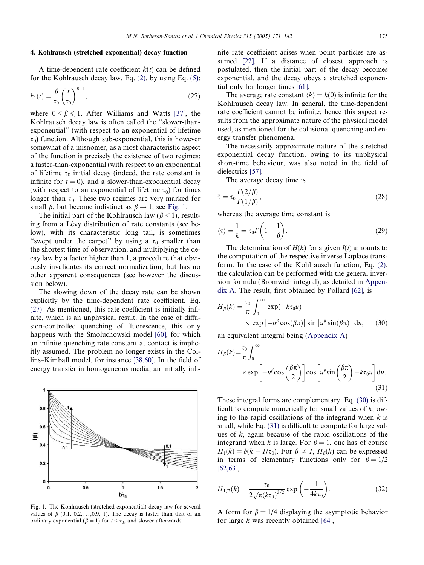## <span id="page-4-0"></span>4. Kohlrausch (stretched exponential) decay function

A time-dependent rate coefficient  $k(t)$  can be defined for the Kohlrausch decay law, Eq. [\(2\),](#page-1-0) by using Eq. [\(5\):](#page-2-0)

$$
k_1(t) = \frac{\beta}{\tau_0} \left(\frac{t}{\tau_0}\right)^{\beta - 1},\tag{27}
$$

where  $0 \le \beta \le 1$ . After Williams and Watts [\[37\]](#page-10-0), the Kohlrausch decay law is often called the ''slower-thanexponential'' (with respect to an exponential of lifetime  $\tau_0$ ) function. Although sub-exponential, this is however somewhat of a misnomer, as a most characteristic aspect of the function is precisely the existence of two regimes: a faster-than-exponential (with respect to an exponential of lifetime  $\tau_0$  initial decay (indeed, the rate constant is infinite for  $t = 0$ , and a slower-than-exponential decay (with respect to an exponential of lifetime  $\tau_0$ ) for times longer than  $\tau_0$ . These two regimes are very marked for small  $\beta$ , but become indistinct as  $\beta \rightarrow 1$ , see Fig. 1.

The initial part of the Kohlrausch law ( $\beta$  < 1), resulting from a Lévy distribution of rate constants (see below), with its characteristic long tail, is sometimes "swept under the carpet" by using a  $\tau_0$  smaller than the shortest time of observation, and multiplying the decay law by a factor higher than 1, a procedure that obviously invalidates its correct normalization, but has no other apparent consequences (see however the discussion below).

The slowing down of the decay rate can be shown explicitly by the time-dependent rate coefficient, Eq. (27). As mentioned, this rate coefficient is initially infinite, which is an unphysical result. In the case of diffusion-controlled quenching of fluorescence, this only happens with the Smoluchowski model [\[60\]](#page-10-0), for which an infinite quenching rate constant at contact is implicitly assumed. The problem no longer exists in the Collins–Kimball model, for instance [\[38,60\].](#page-10-0) In the field of energy transfer in homogeneous media, an initially infi-



Fig. 1. The Kohlrausch (stretched exponential) decay law for several values of  $\beta$  (0.1, 0.2,..., 0.9, 1). The decay is faster than that of an ordinary exponential ( $\beta = 1$ ) for  $t < \tau_0$ , and slower afterwards.

nite rate coefficient arises when point particles are assumed [\[22\]](#page-10-0). If a distance of closest approach is postulated, then the initial part of the decay becomes exponential, and the decay obeys a stretched exponential only for longer times [\[61\]](#page-10-0).

The average rate constant  $\langle k \rangle = k(0)$  is infinite for the Kohlrausch decay law. In general, the time-dependent rate coefficient cannot be infinite; hence this aspect results from the approximate nature of the physical model used, as mentioned for the collisional quenching and energy transfer phenomena.

The necessarily approximate nature of the stretched exponential decay function, owing to its unphysical short-time behaviour, was also noted in the field of dielectrics [\[57\]](#page-10-0).

The average decay time is

$$
\bar{\tau} = \tau_0 \frac{\Gamma(2/\beta)}{\Gamma(1/\beta)},\tag{28}
$$

whereas the average time constant is

$$
\langle \tau \rangle = \frac{1}{\bar{k}} = \tau_0 \Gamma \left( 1 + \frac{1}{\beta} \right). \tag{29}
$$

The determination of  $H(k)$  for a given  $I(t)$  amounts to the computation of the respective inverse Laplace transform. In the case of the Kohlrausch function, Eq. [\(2\),](#page-1-0) the calculation can be performed with the general inversion formula (Bromwich integral), as detailed in Appendix A. The result, first obtained by Pollard [\[62\],](#page-11-0) is

$$
H_{\beta}(k) = \frac{\tau_0}{\pi} \int_0^{\infty} \exp(-k\tau_0 u)
$$
  
× exp [-u<sup>β</sup> cos( $\beta \pi$ )] sin [u<sup>β</sup> sin( $\beta \pi$ )] du, (30)

an equivalent integral being (Appendix A)

$$
H_{\beta}(k) = \frac{\tau_0}{\pi} \int_0^{\infty} \times \exp\left[-u^{\beta}\cos\left(\frac{\beta\pi}{2}\right)\right] \cos\left[u^{\beta}\sin\left(\frac{\beta\pi}{2}\right) - k\tau_0 u\right] du.
$$
\n(31)

These integral forms are complementary: Eq. (30) is difficult to compute numerically for small values of  $k$ , owing to the rapid oscillations of the integrand when  $k$  is small, while Eq. (31) is difficult to compute for large values of  $k$ , again because of the rapid oscillations of the integrand when k is large. For  $\beta = 1$ , one has of course  $H_1(k) = \delta(k - 1/\tau_0)$ . For  $\beta \neq 1$ ,  $H_\beta(k)$  can be expressed in terms of elementary functions only for  $\beta = 1/2$ [\[62,63\],](#page-11-0)

$$
H_{1/2}(k) = \frac{\tau_0}{2\sqrt{\pi}(k\tau_0)^{3/2}} \exp\left(-\frac{1}{4k\tau_0}\right).
$$
 (32)

A form for  $\beta = 1/4$  displaying the asymptotic behavior for large  $k$  was recently obtained [\[64\],](#page-11-0)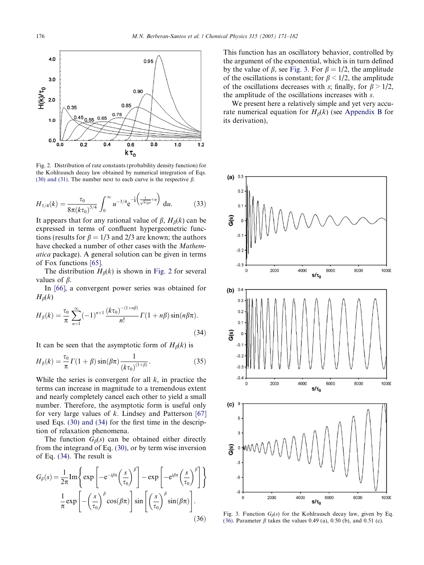<span id="page-5-0"></span>

Fig. 2. Distribution of rate constants (probability density function) for the Kohlrausch decay law obtained by numerical integration of Eqs. [\(30\) and \(31\)](#page-4-0). The number next to each curve is the respective  $\beta$ .

$$
H_{1/4}(k) = \frac{\tau_0}{8\pi (k\tau_0)^{5/4}} \int_0^\infty u^{-3/4} e^{-\frac{1}{4} \left(\frac{1}{\sqrt{k\tau_0 u}} + u\right)} du.
$$
 (33)

It appears that for any rational value of  $\beta$ ,  $H_{\beta}(k)$  can be expressed in terms of confluent hypergeometric functions (results for  $\beta = 1/3$  and 2/3 are known; the authors have checked a number of other cases with the Mathematica package). A general solution can be given in terms of Fox functions [\[65\].](#page-11-0)

The distribution  $H_\beta(k)$  is shown in Fig. 2 for several values of  $\beta$ .

In [\[66\]](#page-11-0), a convergent power series was obtained for  $H_{\beta}(k)$ 

$$
H_{\beta}(k) = \frac{\tau_0}{\pi} \sum_{n=1}^{\infty} (-1)^{n+1} \frac{(k\tau_0)^{-(1+n\beta)}}{n!} \Gamma(1+n\beta) \sin(n\beta\pi).
$$
\n(34)

It can be seen that the asymptotic form of  $H_\beta(k)$  is

$$
H_{\beta}(k) = \frac{\tau_0}{\pi} \Gamma(1+\beta) \sin(\beta \pi) \frac{1}{(k\tau_0)^{(1+\beta)}}.
$$
 (35)

While the series is convergent for all  $k$ , in practice the terms can increase in magnitude to a tremendous extent and nearly completely cancel each other to yield a small number. Therefore, the asymptotic form is useful only for very large values of  $k$ . Lindsey and Patterson [\[67\]](#page-11-0) used Eqs. [\(30\) and \(34\)](#page-4-0) for the first time in the description of relaxation phenomena.

The function  $G_\beta(s)$  can be obtained either directly from the integrand of Eq. [\(30\)](#page-4-0), or by term wise inversion of Eq. (34). The result is

$$
G_{\beta}(s) = \frac{1}{2\pi} \text{Im} \left\{ \exp \left[ -e^{-i\beta \pi} \left( \frac{s}{\tau_0} \right)^{\beta} \right] - \exp \left[ -e^{i\beta \pi} \left( \frac{s}{\tau_0} \right)^{\beta} \right] \right\}
$$

$$
\frac{1}{\pi} \exp \left[ -\left( \frac{s}{\tau_0} \right)^{\beta} \cos(\beta \pi) \right] \sin \left[ \left( \frac{s}{\tau_0} \right)^{\beta} \sin(\beta \pi) \right].
$$
(36)

This function has an oscillatory behavior, controlled by the argument of the exponential, which is in turn defined by the value of  $\beta$ , see Fig. 3. For  $\beta = 1/2$ , the amplitude of the oscillations is constant; for  $\beta$  < 1/2, the amplitude of the oscillations decreases with s; finally, for  $\beta > 1/2$ , the amplitude of the oscillations increases with s.

We present here a relatively simple and yet very accurate numerical equation for  $H_\beta(k)$  (see Appendix B for its derivation),



Fig. 3. Function  $G_{\beta}(s)$  for the Kohlrausch decay law, given by Eq. (36). Parameter  $\beta$  takes the values 0.49 (a), 0.50 (b), and 0.51 (c).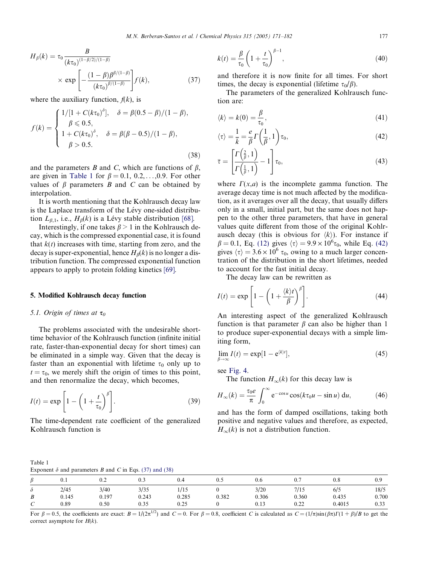<span id="page-6-0"></span>
$$
H_{\beta}(k) = \tau_0 \frac{B}{(k\tau_0)^{(1-\beta/2)/(1-\beta)}}
$$
  
 
$$
\times \exp \left[ -\frac{(1-\beta)\beta^{\beta/(1-\beta)}}{(k\tau_0)^{\beta/(1-\beta)}} \right] f(k), \tag{37}
$$

where the auxiliary function,  $f(k)$ , is

$$
f(k) = \begin{cases} 1/[1 + C(k\tau_0)^{\delta}], & \delta = \beta(0.5 - \beta)/(1 - \beta), \\ \beta \le 0.5, \\ 1 + C(k\tau_0)^{\delta}, & \delta = \beta(\beta - 0.5)/(1 - \beta), \\ \beta > 0.5. \end{cases}
$$
(38)

and the parameters  $B$  and  $C$ , which are functions of  $\beta$ , are given in Table 1 for  $\beta = 0.1, 0.2, \ldots, 0.9$ . For other values of  $\beta$  parameters  $B$  and  $C$  can be obtained by interpolation.

It is worth mentioning that the Kohlrausch decay law is the Laplace transform of the Lévy one-sided distribution  $L_{\beta,1}$ , i.e.,  $H_{\beta}(k)$  is a Lévy stable distribution [\[68\].](#page-11-0)

Interestingly, if one takes  $\beta > 1$  in the Kohlrausch decay, which is the compressed exponential case, it is found that  $k(t)$  increases with time, starting from zero, and the decay is super-exponential, hence  $H_\beta(k)$  is no longer a distribution function. The compressed exponential function appears to apply to protein folding kinetics [\[69\]](#page-11-0).

### 5. Modified Kohlrausch decay function

## 5.1. Origin of times at  $\tau_0$

Table 1

The problems associated with the undesirable shorttime behavior of the Kohlrausch function (infinite initial rate, faster-than-exponential decay for short times) can be eliminated in a simple way. Given that the decay is faster than an exponential with lifetime  $\tau_0$  only up to  $t = \tau_0$ , we merely shift the origin of times to this point, and then renormalize the decay, which becomes,

$$
I(t) = \exp\left[1 - \left(1 + \frac{t}{\tau_0}\right)^{\beta}\right].
$$
 (39)

The time-dependent rate coefficient of the generalized Kohlrausch function is

$$
k(t) = \frac{\beta}{\tau_0} \left( 1 + \frac{t}{\tau_0} \right)^{\beta - 1},
$$
\n(40)

and therefore it is now finite for all times. For short times, the decay is exponential (lifetime  $\tau_0/\beta$ ).

The parameters of the generalized Kohlrausch function are:

$$
\langle k \rangle = k(0) = \frac{\beta}{\tau_0},\tag{41}
$$

$$
\langle \tau \rangle = \frac{1}{\overline{k}} = \frac{e}{\beta} \Gamma\left(\frac{1}{\beta}, 1\right) \tau_0, \tag{42}
$$

$$
\bar{\tau} = \left[\frac{\Gamma\left(\frac{2}{\beta}, 1\right)}{\Gamma\left(\frac{1}{\beta}, 1\right)} - 1\right] \tau_0,\tag{43}
$$

where  $\Gamma(x,a)$  is the incomplete gamma function. The average decay time is not much affected by the modification, as it averages over all the decay, that usually differs only in a small, initial part, but the same does not happen to the other three parameters, that have in general values quite different from those of the original Kohlrausch decay (this is obvious for  $\langle k \rangle$ ). For instance if  $\beta = 0.1$ , Eq. [\(12\)](#page-2-0) gives  $\langle \tau \rangle = 9.9 \times 10^6 \tau_0$ , while Eq. (42) gives  $\langle \tau \rangle = 3.6 \times 10^6 \tau_0$ , owing to a much larger concentration of the distribution in the short lifetimes, needed to account for the fast initial decay.

The decay law can be rewritten as

$$
I(t) = \exp\left[1 - \left(1 + \frac{\langle k \rangle t}{\beta}\right)^{\beta}\right].
$$
 (44)

An interesting aspect of the generalized Kohlrausch function is that parameter  $\beta$  can also be higher than 1 to produce super-exponential decays with a simple limiting form,

$$
\lim_{\beta \to \infty} I(t) = \exp[1 - e^{\langle k \rangle t}], \tag{45}
$$

see [Fig. 4.](#page-7-0)

The function  $H_{\infty}(k)$  for this decay law is

$$
H_{\infty}(k) = \frac{\tau_0 e}{\pi} \int_0^{\infty} e^{-\cos u} \cos(k\tau_0 u - \sin u) du,
$$
 (46)

and has the form of damped oscillations, taking both positive and negative values and therefore, as expected,  $H_{\infty}(k)$  is not a distribution function.

Exponent  $\delta$  and parameters B and C in Eqs. [\(37\) and \(38\)](#page-5-0)

|                  |       |       | $\sim$ |       |       |       |       |          |       |  |
|------------------|-------|-------|--------|-------|-------|-------|-------|----------|-------|--|
| $\boldsymbol{D}$ | υ. ι  | 0.2   | 0.3    | U.4   | U. J  | 0.6   | v.    | $_{0.8}$ | 0.9   |  |
| Ò                | 2/45  | 3/40  | 3/35   | 1/15  |       | 3/20  | 7/15  | 6/5      | 18/5  |  |
| B                | 0.145 | 0.197 | 0.243  | 0.285 | 0.382 | 0.306 | 0.360 | 0.435    | 0.700 |  |
| ⌒<br>◡           | 0.89  | 0.50  | 0.35   | 0.25  |       | 0.13  | 0.22  | 0.4015   | 0.33  |  |

For  $\beta = 0.5$ , the coefficients are exact:  $B = 1/(2\pi^{1/2})$  and  $C = 0$ . For  $\beta = 0.8$ , coefficient C is calculated as  $C = (1/\pi)\sin(\beta\pi)\Gamma(1+\beta)/B$  to get the correct asymptote for  $H(k)$ .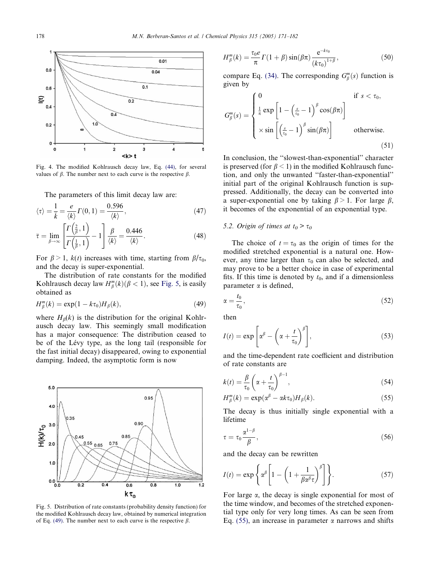<span id="page-7-0"></span>

Fig. 4. The modified Kohlrausch decay law, Eq. [\(44\),](#page-6-0) for several values of  $\beta$ . The number next to each curve is the respective  $\beta$ .

The parameters of this limit decay law are:

$$
\langle \tau \rangle = \frac{1}{\bar{k}} = \frac{e}{\langle k \rangle} \Gamma(0, 1) = \frac{0.596}{\langle k \rangle},\tag{47}
$$

$$
\bar{\tau} = \lim_{\beta \to \infty} \left[ \frac{\Gamma\left(\frac{2}{\beta}, 1\right)}{\Gamma\left(\frac{1}{\beta}, 1\right)} - 1 \right] \frac{\beta}{\langle k \rangle} = \frac{0.446}{\langle k \rangle}.
$$
 (48)

For  $\beta > 1$ ,  $k(t)$  increases with time, starting from  $\beta/\tau_0$ , and the decay is super-exponential.

The distribution of rate constants for the modified Kohlrausch decay law  $H_{\beta}^{m}(k)$  ( $\beta$  < 1), see Fig. 5, is easily obtained as

$$
H_{\beta}^{m}(k) = \exp(1 - k\tau_{0})H_{\beta}(k), \qquad (49)
$$

where  $H_\beta(k)$  is the distribution for the original Kohlrausch decay law. This seemingly small modification has a major consequence: The distribution ceased to be of the Lévy type, as the long tail (responsible for the fast initial decay) disappeared, owing to exponential damping. Indeed, the asymptotic form is now



Fig. 5. Distribution of rate constants (probability density function) for the modified Kohlrausch decay law, obtained by numerical integration of Eq. (49). The number next to each curve is the respective  $\beta$ .

$$
H_{\beta}^{m}(k) = \frac{\tau_{0}e}{\pi} \Gamma(1+\beta) \sin(\beta \pi) \frac{e^{-k\tau_{0}}}{(k\tau_{0})^{1+\beta}},
$$
\n(50)

compare Eq. [\(34\).](#page-5-0) The corresponding  $G_{\beta}^{m}(s)$  function is given by

$$
G_{\beta}^{m}(s) = \begin{cases} 0 & \text{if } s < \tau_{0}, \\ \frac{1}{\pi} \exp\left[1 - \left(\frac{s}{\tau_{0}} - 1\right)^{\beta} \cos(\beta \pi)\right] \\ \times \sin\left[\left(\frac{s}{\tau_{0}} - 1\right)^{\beta} \sin(\beta \pi)\right] & \text{otherwise.} \end{cases}
$$
(51)

In conclusion, the ''slowest-than-exponential'' character is preserved (for  $\beta$  < 1) in the modified Kohlrausch function, and only the unwanted ''faster-than-exponential'' initial part of the original Kohlrausch function is suppressed. Additionally, the decay can be converted into a super-exponential one by taking  $\beta > 1$ . For large  $\beta$ , it becomes of the exponential of an exponential type.

#### 5.2. Origin of times at  $t_0 > \tau_0$

The choice of  $t = \tau_0$  as the origin of times for the modified stretched exponential is a natural one. However, any time larger than  $\tau_0$  can also be selected, and may prove to be a better choice in case of experimental fits. If this time is denoted by  $t_0$ , and if a dimensionless parameter  $\alpha$  is defined,

$$
\alpha = \frac{t_0}{\tau_0},\tag{52}
$$

then

$$
I(t) = \exp\left[\alpha^{\beta} - \left(\alpha + \frac{t}{\tau_0}\right)^{\beta}\right],\tag{53}
$$

and the time-dependent rate coefficient and distribution of rate constants are

$$
k(t) = \frac{\beta}{\tau_0} \left( \alpha + \frac{t}{\tau_0} \right)^{\beta - 1},\tag{54}
$$

$$
H_{\beta}^{m}(k) = \exp(\alpha^{\beta} - \alpha k \tau_{0}) H_{\beta}(k). \qquad (55)
$$

The decay is thus initially single exponential with a lifetime

$$
\tau = \tau_0 \frac{\alpha^{1-\beta}}{\beta},\tag{56}
$$

and the decay can be rewritten

$$
I(t) = \exp\left\{\alpha^{\beta} \left[1 - \left(1 + \frac{1}{\beta \alpha^{\beta} \tau}\right)^{\beta}\right]\right\}.
$$
 (57)

For large  $\alpha$ , the decay is single exponential for most of the time window, and becomes of the stretched exponential type only for very long times. As can be seen from Eq. (55), an increase in parameter  $\alpha$  narrows and shifts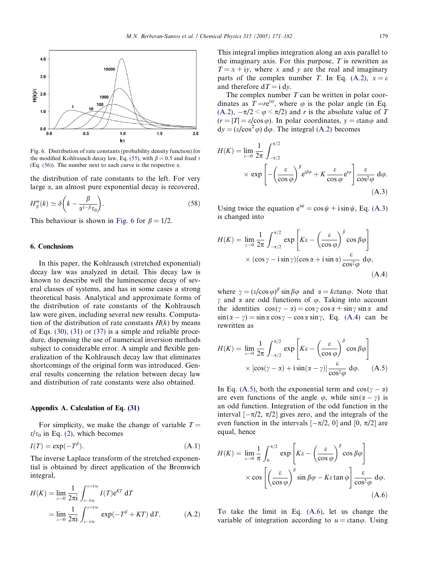<span id="page-8-0"></span>

Fig. 6. Distribution of rate constants (probability density function) for the modified Kohlrausch decay law, Eq. (55), with  $\beta = 0.5$  and fixed  $\tau$ (Eq.  $(56)$ ). The number next to each curve is the respective  $\alpha$ .

the distribution of rate constants to the left. For very large  $\alpha$ , an almost pure exponential decay is recovered,

$$
H_{\beta}^{m}(k) \simeq \delta\left(k - \frac{\beta}{\alpha^{1-\beta}\tau_{0}}\right).
$$
 (58)

This behaviour is shown in Fig. 6 for  $\beta = 1/2$ .

#### 6. Conclusions

In this paper, the Kohlrausch (stretched exponential) decay law was analyzed in detail. This decay law is known to describe well the luminescence decay of several classes of systems, and has in some cases a strong theoretical basis. Analytical and approximate forms of the distribution of rate constants of the Kohlrausch law were given, including several new results. Computation of the distribution of rate constants  $H(k)$  by means of Eqs. [\(30\), \(31\) or \(37\)](#page-4-0) is a simple and reliable procedure, dispensing the use of numerical inversion methods subject to considerable error. A simple and flexible generalization of the Kohlrausch decay law that eliminates shortcomings of the original form was introduced. General results concerning the relation between decay law and distribution of rate constants were also obtained.

## Appendix A. Calculation of Eq. [\(31\)](#page-4-0)

For simplicity, we make the change of variable  $T =$  $t/\tau_0$  in Eq. [\(2\)](#page-1-0), which becomes

$$
I(T) = \exp(-T^{\beta}).\tag{A.1}
$$

The inverse Laplace transform of the stretched exponential is obtained by direct application of the Bromwich integral,

$$
H(K) = \lim_{\varepsilon \to 0} \frac{1}{2\pi i} \int_{\varepsilon - i\infty}^{\varepsilon + i\infty} I(T) e^{KT} dT
$$
  
= 
$$
\lim_{\varepsilon \to 0} \frac{1}{2\pi i} \int_{\varepsilon - i\infty}^{\varepsilon + i\infty} \exp(-T^{\beta} + KT) dT.
$$
 (A.2)

This integral implies integration along an axis parallel to the imaginary axis. For this purpose,  $T$  is rewritten as  $T = x + iy$ , where x and y are the real and imaginary parts of the complex number T. In Eq. (A.2),  $x = \varepsilon$ and therefore  $dT = i dv$ .

The complex number  $T$  can be written in polar coordinates as  $T = re^{i\varphi}$ , where  $\varphi$  is the polar angle (in Eq. (A.2),  $-\pi/2 < \varphi < \pi/2$ ) and r is the absolute value of T  $(r = |T| = \varepsilon / \cos \varphi)$ . In polar coordinates,  $y = \varepsilon \tan \varphi$  and  $dy = (\varepsilon/\cos^2 \varphi) d\varphi$ . The integral (A.2) becomes

$$
H(K) = \lim_{\varepsilon \to 0} \frac{1}{2\pi} \int_{-\pi/2}^{\pi/2} \times \exp\left[ -\left(\frac{\varepsilon}{\cos \varphi}\right)^{\beta} e^{i\beta\varphi} + K \frac{\varepsilon}{\cos \varphi} e^{i\varphi} \right] \frac{\varepsilon}{\cos^2 \varphi} d\varphi.
$$
\n(A.3)

Using twice the equation  $e^{i\psi} = \cos \psi + i \sin \psi$ , Eq. (A.3) is changed into

$$
H(K) = \lim_{\varepsilon \to 0} \frac{1}{2\pi} \int_{-\pi/2}^{\pi/2} \exp\left[K\varepsilon - \left(\frac{\varepsilon}{\cos \varphi}\right)^{\beta} \cos \beta \varphi\right] \times (\cos \gamma - i \sin \gamma)(\cos \alpha + i \sin \alpha) \frac{\varepsilon}{\cos^2 \varphi} d\varphi,
$$
\n(A.4)

where  $\gamma = (\varepsilon/\cos\varphi)^{\beta} \sin \beta \varphi$  and  $\alpha = k \varepsilon \tan \varphi$ . Note that  $\gamma$  and  $\alpha$  are odd functions of  $\varphi$ . Taking into account the identities  $\cos(\gamma - \alpha) = \cos \gamma \cos \alpha + \sin \gamma \sin \alpha$  and  $\sin(\alpha - \gamma) = \sin \alpha \cos \gamma - \cos \alpha \sin \gamma$ , Eq. (A.4) can be rewritten as

$$
H(K) = \lim_{\varepsilon \to 0} \frac{1}{2\pi} \int_{-\pi/2}^{\pi/2} \exp\left[K\varepsilon - \left(\frac{\varepsilon}{\cos \varphi}\right)^{\beta} \cos \beta \varphi\right] \times \left[\cos(\gamma - \alpha) + i \sin(\alpha - \gamma)\right] \frac{\varepsilon}{\cos^2 \varphi} d\varphi.
$$
 (A.5)

In Eq. (A.5), both the exponential term and  $cos(y - \alpha)$ are even functions of the angle  $\varphi$ , while  $sin(\alpha - \gamma)$  is an odd function. Integration of the odd function in the interval  $[-\pi/2, \pi/2]$  gives zero, and the integrals of the even function in the intervals  $[-\pi/2, 0]$  and  $[0, \pi/2]$  are equal, hence

$$
H(K) = \lim_{\varepsilon \to 0} \frac{1}{\pi} \int_0^{\pi/2} \exp\left[K\varepsilon - \left(\frac{\varepsilon}{\cos \varphi}\right)^{\beta} \cos \beta \varphi\right] \times \cos\left[\left(\frac{\varepsilon}{\cos \varphi}\right)^{\beta} \sin \beta \varphi - K\varepsilon \tan \varphi\right] \frac{\varepsilon}{\cos^2 \varphi} d\varphi.
$$
\n(A.6)

To take the limit in Eq. (A.6), let us change the variable of integration according to  $u = \text{stan}\varphi$ . Using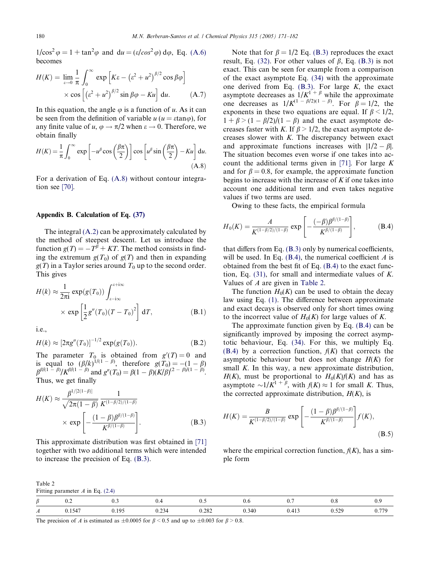$1/\cos^2 \varphi = 1 + \tan^2 \varphi$  and  $du = (\varepsilon/\cos^2 \varphi) d\varphi$ , Eq. [\(A.6\)](#page-8-0) becomes

$$
H(K) = \lim_{\varepsilon \to 0} \frac{1}{\pi} \int_0^\infty \exp\left[ K\varepsilon - \left( \varepsilon^2 + u^2 \right)^{\beta/2} \cos \beta \varphi \right] \times \cos\left[ \left( \varepsilon^2 + u^2 \right)^{\beta/2} \sin \beta \varphi - Ku \right] du. \tag{A.7}
$$

In this equation, the angle  $\varphi$  is a function of u. As it can be seen from the definition of variable  $u (u = \alpha \tan \varphi)$ , for any finite value of  $u, \varphi \to \pi/2$  when  $\varepsilon \to 0$ . Therefore, we obtain finally

$$
H(K) = \frac{1}{\pi} \int_0^\infty \exp\left[-u^\beta \cos\left(\frac{\beta \pi}{2}\right)\right] \cos\left[u^\beta \sin\left(\frac{\beta \pi}{2}\right) - Ku\right] du.
$$
\n(A.8)

For a derivation of Eq. (A.8) without contour integration see [\[70\]](#page-11-0).

#### Appendix B. Calculation of Eq. [\(37\)](#page-5-0)

The integral [\(A.2\)](#page-8-0) can be approximately calculated by the method of steepest descent. Let us introduce the function  $g(T) = -T^{\hat{\beta}} + KT$ . The method consists in finding the extremum  $g(T_0)$  of  $g(T)$  and then in expanding  $g(T)$  in a Taylor series around  $T_0$  up to the second order. This gives

$$
H(k) \approx \frac{1}{2\pi i} \exp(g(T_0)) \int_{\varepsilon - i\infty}^{\varepsilon + i\infty}
$$
  
 
$$
\times \exp\left[\frac{1}{2}g''(T_0)(T - T_0)^2\right] dT,
$$
 (B.1)

i.e.,

$$
H(k) \approx [2\pi g''(T_0)]^{-1/2} \exp(g(T_0)).
$$
 (B.2)

The parameter  $T_0$  is obtained from  $g'(T) = 0$  and is equal to  $(\beta/k)^{1/(1-\beta)}$ , therefore  $g(T_0) = -(1-\beta)$  $\beta^{\beta/(1-\beta)}/K^{\beta/(1-\beta)}$  and  $g''(T_0) = \beta(1-\beta)(K/\beta)^{(2-\beta)/(1-\beta)}$ . Thus, we get finally

$$
H(K) \approx \frac{\beta^{1/[2(1-\beta)]}}{\sqrt{2\pi(1-\beta)}} \frac{1}{K^{(1-\beta/2)/(1-\beta)}}
$$
  
× exp  $\left[ -\frac{(1-\beta)\beta^{\beta/(1-\beta)}}{K^{\beta/(1-\beta)}} \right].$  (B.3)

This approximate distribution was first obtained in [\[71\]](#page-11-0) together with two additional terms which were intended to increase the precision of Eq. (B.3).

Note that for  $\beta = 1/2$  Eq. (B.3) reproduces the exact result, Eq. [\(32\).](#page-4-0) For other values of  $\beta$ , Eq. (B.3) is not exact. This can be seen for example from a comparison of the exact asymptote Eq. [\(34\)](#page-5-0) with the approximate one derived from Eq.  $(B.3)$ . For large  $K$ , the exact asymptote decreases as  $1/K^{1+\beta}$  while the approximate one decreases as  $1/K^{(1-\beta/2)(1-\beta)}$ . For  $\beta = 1/2$ , the exponents in these two equations are equal. If  $\beta$  < 1/2,  $1 + \beta > (1 - \beta/2)/(1 - \beta)$  and the exact asymptote decreases faster with K. If  $\beta > 1/2$ , the exact asymptote decreases slower with  $K$ . The discrepancy between exact and approximate functions increases with  $|1/2 - \beta|$ . The situation becomes even worse if one takes into ac-count the additional terms given in [\[71\]](#page-11-0). For large  $K$ and for  $\beta = 0.8$ , for example, the approximate function begins to increase with the increase of  $K$  if one takes into account one additional term and even takes negative values if two terms are used.

Owing to these facts, the empirical formula

$$
H_0(K) = \frac{A}{K^{(1-\beta/2)/(1-\beta)}} \exp\left[-\frac{(-\beta)\beta^{\beta/(1-\beta)}}{K^{\beta/(1-\beta)}}\right],
$$
 (B.4)

that differs from Eq. (B.3) only by numerical coefficients, will be used. In Eq.  $(B.4)$ , the numerical coefficient A is obtained from the best fit of Eq. (B.4) to the exact function, Eq. [\(31\),](#page-4-0) for small and intermediate values of K. Values of A are given in Table 2.

The function  $H_0(K)$  can be used to obtain the decay law using Eq. [\(1\)](#page-0-0). The difference between approximate and exact decays is observed only for short times owing to the incorrect value of  $H_0(K)$  for large values of K.

The approximate function given by Eq. (B.4) can be significantly improved by imposing the correct asymptotic behaviour, Eq. [\(34\).](#page-5-0) For this, we multiply Eq.  $(B.4)$  by a correction function,  $f(K)$  that corrects the asymptotic behaviour but does not change  $H(K)$  for small K. In this way, a new approximate distribution,  $H(K)$ , must be proportional to  $H_0(K)/K$  and has as asymptote  $\sim 1/K^{1+\beta}$ , with  $f(K) \approx 1$  for small K. Thus, the corrected approximate distribution,  $H(K)$ , is

$$
H(K) = \frac{B}{K^{(1-\beta/2)/(1-\beta)}} \exp\left[-\frac{(1-\beta)\beta^{\beta/(1-\beta)}}{K^{\beta/(1-\beta)}}\right] f(K),
$$
\n(B.5)

where the empirical correction function,  $f(K)$ , has a simple form

| Table 2                            |  |
|------------------------------------|--|
| Fitting parameter $A$ in Eq. (2.4) |  |

| Ω | $\mathsf{u}.\mathsf{v}$ | ν.υ                     | ∪.⊣          | ∪.J          | v.v   | v.,   | v.o                                   | ◡.৴                      |
|---|-------------------------|-------------------------|--------------|--------------|-------|-------|---------------------------------------|--------------------------|
| A | 0.1547                  | 10 <sup>4</sup><br>,,,, | -14<br>∪.∠J4 | 202<br>0.202 | 0.340 | v.415 | $\epsilon \wedge \epsilon$<br><i></i> | 77 <sub>C</sub><br>0.11. |

The precision of A is estimated as  $\pm 0.0005$  for  $\beta \le 0.5$  and up to  $\pm 0.003$  for  $\beta \ge 0.8$ .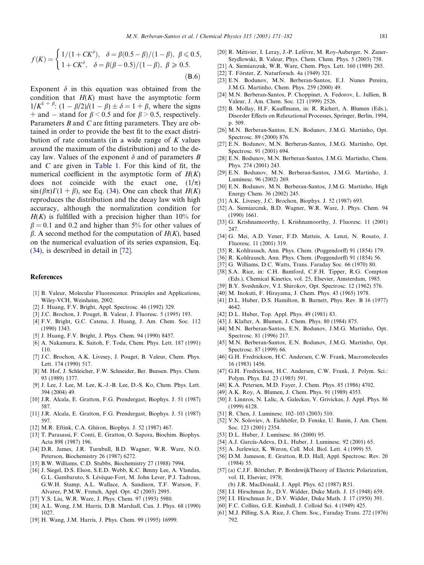<span id="page-10-0"></span>
$$
f(K) = \begin{cases} 1/(1 + CK^{\delta}), & \delta = \beta(0.5 - \beta)/(1 - \beta), \ \beta \le 0.5, \\ 1 + CK^{\delta}, & \delta = \beta(\beta - 0.5)/(1 - \beta), \ \beta \ge 0.5. \end{cases}
$$
(B.6)

Exponent  $\delta$  in this equation was obtained from the condition that  $H(K)$  must have the asymptotic form  $1/K^{1 + \beta}$ :  $(1 - \beta/2)/(1 - \beta) \pm \delta = 1 + \beta$ , where the signs + and – stand for  $\beta$  < 0.5 and for  $\beta$  > 0.5, respectively. Parameters B and C are fitting parameters. They are obtained in order to provide the best fit to the exact distribution of rate constants (in a wide range of  $K$  values around the maximum of the distribution) and to the decay law. Values of the exponent  $\delta$  and of parameters B and C are given in [Table 1.](#page-6-0) For this kind of fit, the numerical coefficient in the asymptotic form of  $H(K)$ does not coincide with the exact one,  $(1/\pi)$  $\sin(\beta \pi)\Gamma(1 + \beta)$ , see Eq. [\(34\).](#page-5-0) One can check that  $H(K)$ reproduces the distribution and the decay law with high accuracy, although the normalization condition for  $H(K)$  is fulfilled with a precision higher than 10% for  $\beta = 0.1$  and 0.2 and higher than 5% for other values of  $\beta$ . A second method for the computation of  $H(K)$ , based on the numerical evaluation of its series expansion, Eq. [\(34\)](#page-5-0), is described in detail in [\[72\].](#page-11-0)

## References

- [1] B. Valeur, Molecular Fluorescence. Principles and Applications, Wiley-VCH, Weinheim, 2002.
- [2] J. Huang, F.V. Bright, Appl. Spectrosc. 46 (1992) 329.
- [3] J.C. Brochon, J. Pouget, B. Valeur, J. Fluoresc. 5 (1995) 193.
- [4] F.V. Bright, G.C. Catena, J. Huang, J. Am. Chem. Soc. 112 (1990) 1343.
- [5] J. Huang, F.V. Bright, J. Phys. Chem. 94 (1990) 8457.
- [6] A. Nakamura, K. Saitoh, F. Toda, Chem. Phys. Lett. 187 (1991) 110.
- [7] J.C. Brochon, A.K. Livesey, J. Pouget, B. Valeur, Chem. Phys. Lett. 174 (1990) 517.
- [8] M. Hof, J. Schleicher, F.W. Schneider, Ber. Bunsen. Phys. Chem. 93 (1989) 1377.
- [9] J. Lee, J. Lee, M. Lee, K.-J.-B. Lee, D.-S. Ko, Chem. Phys. Lett. 394 (2004) 49.
- [10] J.R. Alcala, E. Gratton, F.G. Prendergast, Biophys. J. 51 (1987) 587.
- [11] J.R. Alcala, E. Gratton, F.G. Prendergast, Biophys. J. 51 (1987) 597.
- [12] M.R. Eftink, C.A. Ghiron, Biophys. J. 52 (1987) 467.
- [13] T. Parasassi, F. Conti, E. Gratton, O. Sapora, Biochim. Biophys. Acta 898 (1987) 196.
- [14] D.R. James, J.R. Turnbull, B.D. Wagner, W.R. Ware, N.O. Peterson, Biochemistry 26 (1987) 6272.
- [15] B.W. Williams, C.D. Stubbs, Biochemistry 27 (1988) 7994.
- [16] J. Siegel, D.S. Elson, S.E.D. Webb, K.C. Benny Lee, A. Vlandas, G.L. Gambaruto, S. Lévêque-Fort, M. John Lever, P.J. Tadrous, G.W.H. Stamp, A.L. Wallace, A. Sandison, T.F. Watson, F. Alvarez, P.M.W. French, Appl. Opt. 42 (2003) 2995.
- [17] Y.S. Liu, W.R. Ware, J. Phys. Chem. 97 (1993) 5980.
- [18] A.L. Wong, J.M. Harris, D.B. Marshall, Can. J. Phys. 68 (1990) 1027.
- [19] H. Wang, J.M. Harris, J. Phys. Chem. 99 (1995) 16999.
- [20] R. Métivier, I. Leray, J.-P. Lefévre, M. Roy-Auberger, N. Zaner-Szydlowski, B. Valeur, Phys. Chem. Chem. Phys. 5 (2003) 758.
- [21] A. Siemiarczuk, W.R. Ware, Chem. Phys. Lett. 160 (1989) 285.
- [22] T. Förster, Z. Naturforsch. 4a (1949) 321.
- [23] E.N. Bodunov, M.N. Berberan-Santos, E.J. Nunes Pereira, J.M.G. Martinho, Chem. Phys. 259 (2000) 49.
- [24] M.N. Berberan-Santos, P. Choppinet, A. Fedorov, L. Jullien, B. Valeur, J. Am. Chem. Soc. 121 (1999) 2526.
- [25] B. Mollay, H.F. Kauffmann, in: R. Richert, A. Blumen (Eds.), Disorder Effects on Relaxational Processes, Springer, Berlin, 1994, p. 509.
- [26] M.N. Berberan-Santos, E.N. Bodunov, J.M.G. Martinho, Opt. Spectrosc. 89 (2000) 876.
- [27] E.N. Bodunov, M.N. Berberan-Santos, J.M.G. Martinho, Opt. Spectrosc. 91 (2001) 694.
- [28] E.N. Bodunov, M.N. Berberan-Santos, J.M.G. Martinho, Chem. Phys. 274 (2001) 243.
- [29] E.N. Bodunov, M.N. Berberan-Santos, J.M.G. Martinho, J. Luminesc. 96 (2002) 269.
- [30] E.N. Bodunov, M.N. Berberan-Santos, J.M.G. Martinho, High Energy Chem. 36 (2002) 245.
- [31] A.K. Livesey, J.C. Brochon, Biophys. J. 52 (1987) 693.
- [32] A. Siemiarczuk, B.D. Wagner, W.R. Ware, J. Phys. Chem. 94 (1990) 1661.
- [33] G. Krishnamoorthy, I. Krishnamoorthy, J. Fluoresc. 11 (2001) 247.
- [34] G. Mei, A.D. Vener, F.D. Matteis, A. Lenzi, N. Rosato, J. Fluoresc. 11 (2001) 319.
- [35] R. Kohlrausch, Ann. Phys. Chem. (Poggendorff) 91 (1854) 179.
- [36] R. Kohlrausch, Ann. Phys. Chem. (Poggendorff) 91 (1854) 56.
- [37] G. Williams, D.C. Watts, Trans. Faraday Soc. 66 (1970) 80.
- [38] S.A. Rice, in: C.H. Bamford, C.F.H. Tipper, R.G. Compton (Eds.), Chemical Kinetics, vol. 25, Elsevier, Amsterdam, 1985.
- [39] B.Y. Sveshnikov, V.I. Shirokov, Opt. Spectrosc. 12 (1962) 576.
- [40] M. Inokuti, F. Hirayama, J. Chem. Phys. 43 (1965) 1978.
- [41] D.L. Huber, D.S. Hamilton, B. Barnett, Phys. Rev. B 16 (1977) 4642.
- [42] D.L. Huber, Top. Appl. Phys. 49 (1981) 83.
- [43] J. Klafter, A. Blumen, J. Chem. Phys. 80 (1984) 875.
- [44] M.N. Berberan-Santos, E.N. Bodunov, J.M.G. Martinho, Opt. Spectrosc. 81 (1996) 217.
- [45] M.N. Berberan-Santos, E.N. Bodunov, J.M.G. Martinho, Opt. Spectrosc. 87 (1999) 66.
- [46] G.H. Fredrickson, H.C. Andersen, C.W. Frank, Macromolecules 16 (1983) 1456.
- [47] G.H. Fredrickson, H.C. Andersen, C.W. Frank, J. Polym. Sci.: Polym. Phys. Ed. 23 (1985) 591.
- [48] K.A. Petersen, M.D. Fayer, J. Chem. Phys. 85 (1986) 4702.
- [49] A.K. Roy, A. Blumen, J. Chem. Phys. 91 (1989) 4353.
- [50] J. Linnros, N. Lalic, A. Galeckas, V. Grivickas, J. Appl. Phys. 86 (1999) 6128.
- [51] R. Chen, J. Luminesc. 102-103 (2003) 510.
- [52] V.N. Soloviev, A. Eichhöfer, D. Fenske, U. Banin, J. Am. Chem. Soc. 123 (2001) 2354.
- [53] D.L. Huber, J. Luminesc. 86 (2000) 95.
- [54] A.J. García-Adeva, D.L. Huber, J. Luminesc. 92 (2001) 65.
- [55] A. Jurlewicz, K. Weron, Cell. Mol. Biol. Lett. 4 (1999) 55.
- [56] D.M. Jameson, E. Gratton, R.D. Hall, Appl. Spectrosc. Rev. 20 (1984) 55.
- [57] (a) C.J.F. Böttcher, P. BordewijkTheory of Electric Polarization, vol. II, Elsevier, 1978;
	- (b) J.R. MacDonald, J. Appl. Phys. 62 (1987) R51.
- [58] I.I. Hirschman Jr., D.V. Widder, Duke Math. J. 15 (1948) 659.
- [59] I.I. Hirschman Jr., D.V. Widder, Duke Math. J. 17 (1950) 391.
- [60] F.C. Collins, G.E. Kimball, J. Colloid Sci. 4 (1949) 425.
- [61] M.J. Pilling, S.A. Rice, J. Chem. Soc., Faraday Trans. 272 (1976) 792.